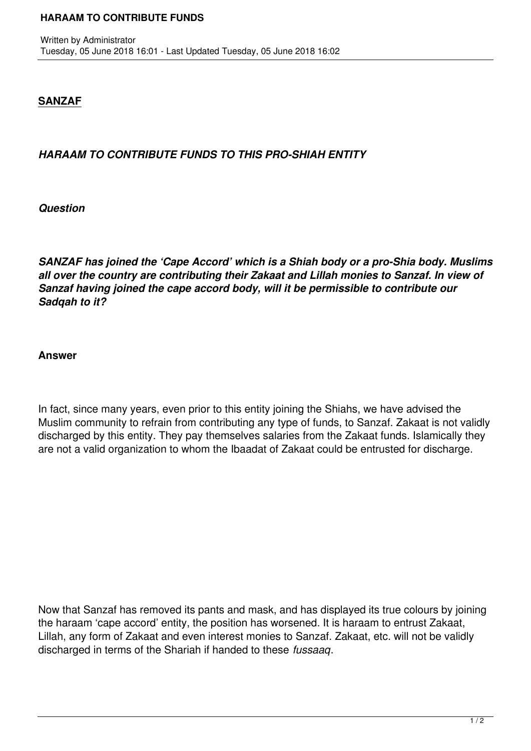## **SANZAF**

## *HARAAM TO CONTRIBUTE FUNDS TO THIS PRO-SHIAH ENTITY*

*Question*

*SANZAF has joined the 'Cape Accord' which is a Shiah body or a pro-Shia body. Muslims all over the country are contributing their Zakaat and Lillah monies to Sanzaf. In view of Sanzaf having joined the cape accord body, will it be permissible to contribute our Sadqah to it?*

## **Answer**

In fact, since many years, even prior to this entity joining the Shiahs, we have advised the Muslim community to refrain from contributing any type of funds, to Sanzaf. Zakaat is not validly discharged by this entity. They pay themselves salaries from the Zakaat funds. Islamically they are not a valid organization to whom the Ibaadat of Zakaat could be entrusted for discharge.

Now that Sanzaf has removed its pants and mask, and has displayed its true colours by joining the haraam 'cape accord' entity, the position has worsened. It is haraam to entrust Zakaat, Lillah, any form of Zakaat and even interest monies to Sanzaf. Zakaat, etc. will not be validly discharged in terms of the Shariah if handed to these *fussaaq*.